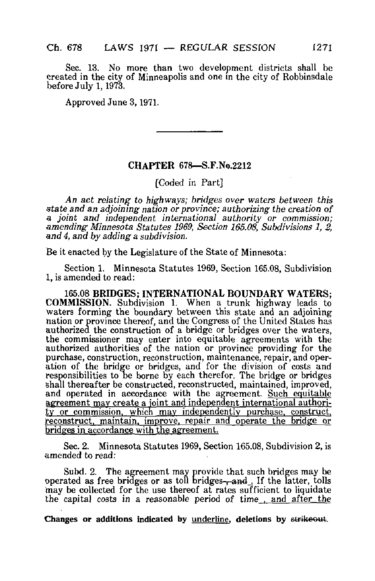Sec. 13. No more than two development districts shall be created in the city of Minneapolis and one in the city of Robbinsdale before July 1,1973.

Approved June 3,1971.

## CHAPTER 678—S.F.No.2212

[Coded in Part]

An act relating to highways; bridges over waters between this state and an adjoining nation or province; authorizing the creation of a joint and independent international authority or commission; amending- Minnesota Statutes 1969, Section 165.08, Subdivisions 1, 2, and 4, and by adding a subdivision.

Be it enacted by the Legislature of the State of Minnesota:

Section 1. Minnesota Statutes 1969, Section 165.08, Subdivision 1, is amended to read:

165.08 BRIDGES; INTERNATIONAL BOUNDARY WATERS; COMMISSION. Subdivision 1. When a trunk highway leads to Waters forming the boundary between this state and an adjoining nation or province thereof, and the Congress of the United States has authorized the construction of a bridge or bridges over the waters, the commissioner may enter into equitable agreements with the authorized authorities of the nation or province providing for the purchase, construction, reconstruction, maintenance, repair, and operation of the bridge or bridges, and for the division of costs and responsibilities to be borne by each therefor. The bridge or bridges shall thereafter be constructed, reconstructed, maintained, improved, and operated in accordance with the agreement. Such equitable agreement may create a joint and independent international authori $t$ y or commission, which may independently purchase, construct, reconstruct, maintain, improve, repair and operate the bridge or bridges in accordance with the agreement.

Sec. 2. Minnesota Statutes 1969, Section 165.08, Subdivision 2, is amended to read:

Subd. 2. The agreement may provide that such bridges may be operated as free bridges or as toll bridges-, and If the latter, tolls may be collected for the use thereof at rates sufficient to liquidate the capita] costs in a reasonable period of time . and after the

Changes or additions indicated by underline, deletions by strikeout.